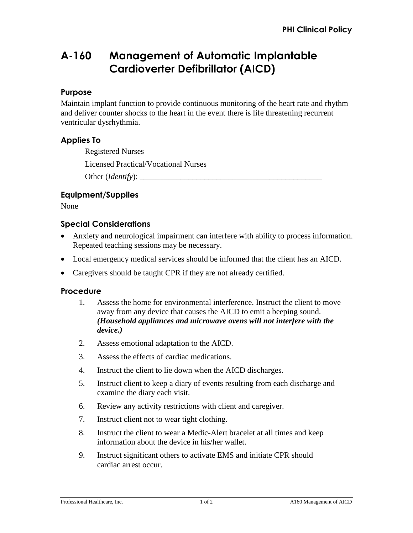# **A-160 Management of Automatic Implantable Cardioverter Defibrillator (AICD)**

# **Purpose**

Maintain implant function to provide continuous monitoring of the heart rate and rhythm and deliver counter shocks to the heart in the event there is life threatening recurrent ventricular dysrhythmia.

# **Applies To**

Registered Nurses

Licensed Practical/Vocational Nurses

Other (*Identify*): \_\_\_\_\_\_\_\_\_\_\_\_\_\_\_\_\_\_\_\_\_\_\_\_\_\_\_\_\_\_\_\_\_\_\_\_\_\_\_\_\_\_\_\_\_

### **Equipment/Supplies**

None

### **Special Considerations**

- Anxiety and neurological impairment can interfere with ability to process information. Repeated teaching sessions may be necessary.
- Local emergency medical services should be informed that the client has an AICD.
- Caregivers should be taught CPR if they are not already certified.

#### **Procedure**

- 1. Assess the home for environmental interference. Instruct the client to move away from any device that causes the AICD to emit a beeping sound. *(Household appliances and microwave ovens will not interfere with the device.)*
- 2. Assess emotional adaptation to the AICD.
- 3. Assess the effects of cardiac medications.
- 4. Instruct the client to lie down when the AICD discharges.
- 5. Instruct client to keep a diary of events resulting from each discharge and examine the diary each visit.
- 6. Review any activity restrictions with client and caregiver.
- 7. Instruct client not to wear tight clothing.
- 8. Instruct the client to wear a Medic-Alert bracelet at all times and keep information about the device in his/her wallet.
- 9. Instruct significant others to activate EMS and initiate CPR should cardiac arrest occur.